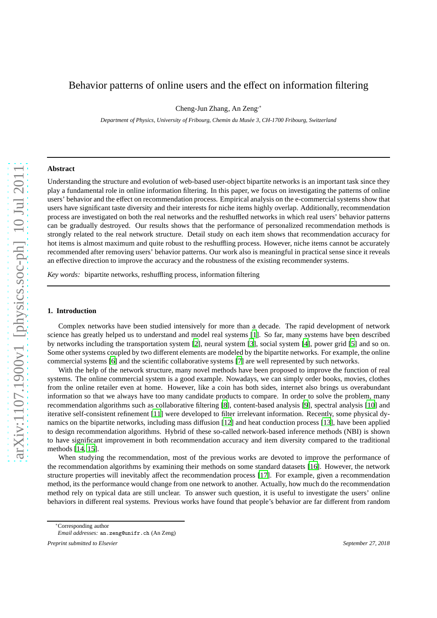# Behavior patterns of online users and the effect on information filtering

Cheng-Jun Zhang, An Zeng,<sup>∗</sup>

*Department of Physics, University of Fribourg, Chemin du Mus´ee 3, CH-1700 Fribourg, Switzerland*

# **Abstract**

Understanding the structure and evolution of web-based user-object bipartite networks is an important task since they play a fundamental role in online information filtering. In this paper, we focus on investigating the patterns of online users' behavior and the effect on recommendation process. Empirical analysis on the e-commercial systems show that users have significant taste diversity and their interests for niche items highly overlap. Additionally, recommendation process are investigated on both the real networks and the reshuffled networks in which real users' behavior patterns can be gradually destroyed. Our results shows that the performance of personalized recommendation methods is strongly related to the real network structure. Detail study on each item shows that recommendation accuracy for hot items is almost maximum and quite robust to the reshuffling process. However, niche items cannot be accurately recommended after removing users' behavior patterns. Our work also is meaningful in practical sense since it reveals an effective direction to improve the accuracy and the robustness of the existing recommender systems.

*Key words:* bipartite networks, reshuffling process, information filtering

#### **1. Introduction**

Complex networks have been studied intensively for more than a decade. The rapid development of network science has greatly helped us to understand and model real systems [\[1](#page-7-0)]. So far, many systems have been described by networks including the transportation system [\[2\]](#page-7-1), neural system [\[3](#page-7-2)], social system [\[4](#page-7-3)], power grid [\[5\]](#page-7-4) and so on. Some other systems coupled by two different elements are modeled by the bipartite networks. For example, the online commercial systems [\[6](#page-7-5)] and the scientific collaborative systems [\[7\]](#page-7-6) are well represented by such networks.

With the help of the network structure, many novel methods have been proposed to improve the function of real systems. The online commercial system is a good example. Nowadays, we can simply order books, movies, clothes from the online retailer even at home. However, like a coin has both sides, internet also brings us overabundant information so that we always have too many candidate products to compare. In order to solve the problem, many recommendation algorithms such as collaborative filtering [\[8](#page-7-7)], content-based analysis [\[9\]](#page-7-8), spectral analysis [\[10](#page-7-9)] and iterative self-consistent refinement [\[11\]](#page-7-10) were developed to filter irrelevant information. Recently, some physical dynamics on the bipartite networks, including mass diffusion [\[12\]](#page-7-11) and heat conduction process [\[13](#page-7-12)], have been applied to design recommendation algorithms. Hybrid of these so-called network-based inference methods (NBI) is shown to have significant improvement in both recommendation accuracy and item diversity compared to the traditional methods [\[14,](#page-7-13) [15\]](#page-7-14).

When studying the recommendation, most of the previous works are devoted to improve the performance of the recommendation algorithms by examining their methods on some standard datasets [\[16\]](#page-7-15). However, the network structure properties will inevitably affect the recommendation process [\[17](#page-7-16)]. For example, given a recommendation method, its the performance would change from one network to another. Actually, how much do the recommendation method rely on typical data are still unclear. To answer such question, it is useful to investigate the users' online behaviors in different real systems. Previous works have found that people's behavior are far different from random

*Preprint submitted to Elsevier September 27, 2018*

<sup>∗</sup>Corresponding author

*Email addresses:* an.zeng@unifr.ch (An Zeng)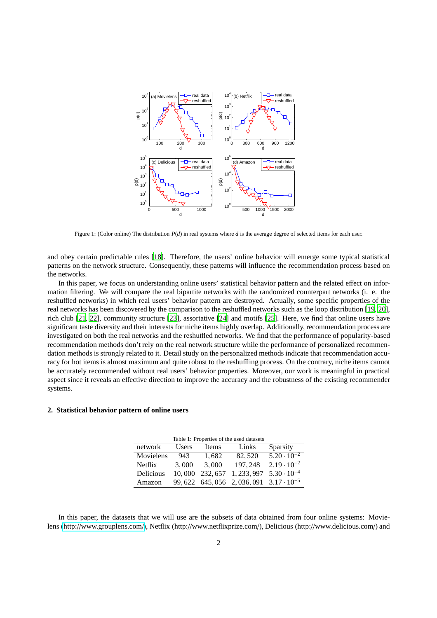

Figure 1: (Color online) The distribution *P*(*d*) in real systems where *d* is the average degree of selected items for each user.

and obey certain predictable rules [\[18\]](#page-7-17). Therefore, the users' online behavior will emerge some typical statistical patterns on the network structure. Consequently, these patterns will influence the recommendation process based on the networks.

In this paper, we focus on understanding online users' statistical behavior pattern and the related effect on information filtering. We will compare the real bipartite networks with the randomized counterpart networks (i. e. the reshuffled networks) in which real users' behavior pattern are destroyed. Actually, some specific properties of the real networks has been discovered by the comparison to the reshuffled networks such as the loop distribution [\[19](#page-7-18), [20\]](#page-7-19), rich club [\[21,](#page-7-20) [22](#page-7-21)], community structure [\[23\]](#page-7-22), assortative [\[24](#page-7-23)] and motifs [\[25\]](#page-7-24). Here, we find that online users have significant taste diversity and their interests for niche items highly overlap. Additionally, recommendation process are investigated on both the real networks and the reshuffled networks. We find that the performance of popularity-based recommendation methods don't rely on the real network structure while the performance of personalized recommendation methods is strongly related to it. Detail study on the personalized methods indicate that recommendation accuracy for hot items is almost maximum and quite robust to the reshuffling process. On the contrary, niche items cannot be accurately recommended without real users' behavior properties. Moreover, our work is meaningful in practical aspect since it reveals an effective direction to improve the accuracy and the robustness of the existing recommender systems.

# **2. Statistical behavior pattern of online users**

| Table 1: Properties of the used datasets |        |              |                                                   |                      |
|------------------------------------------|--------|--------------|---------------------------------------------------|----------------------|
| network                                  | Users  | <b>Items</b> | Links                                             | Sparsity             |
| Movielens                                | 943    | 1.682        | 82.520                                            | $5.20 \cdot 10^{-2}$ |
| Netflix                                  | 3.000  | 3.000        | 197.248                                           | $2.19 \cdot 10^{-2}$ |
| Delicious                                | 10,000 | 232, 657     | $1, 233, 997$ $5.30 \cdot 10^{-4}$                |                      |
| Amazon                                   |        |              | 99, 622 645, 056 2, 036, 091 $3.17 \cdot 10^{-5}$ |                      |

In this paper, the datasets that we will use are the subsets of data obtained from four online systems: Movielens (http://[www.grouplens.com](http://www.grouplens.com/)/), Netflix (http://www.netflixprize.com/), Delicious (http://www.delicious.com/) and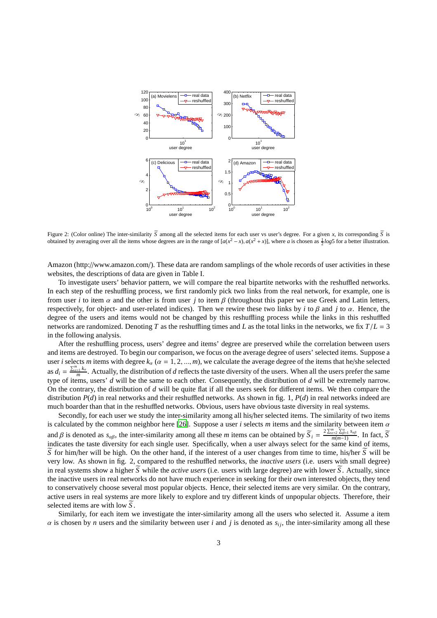

Figure 2: (Color online) The inter-similarity  $\overline{S}$  among all the selected items for each user vs user's degree. For a given *x*, its corresponding  $\overline{S}$  is obtained by averaging over all the items whose degrees are in the range of  $[a(x^2 - x), a(x^2 + x)]$ , where *a* is chosen as  $\frac{1}{2} \log 5$  for a better illustration.

Amazon (http://www.amazon.com/). These data are random samplings of the whole records of user activities in these websites, the descriptions of data are given in Table I.

To investigate users' behavior pattern, we will compare the real bipartite networks with the reshuffled networks. In each step of the reshuffling process, we first randomly pick two links from the real network, for example, one is from user *i* to item  $\alpha$  and the other is from user *j* to item  $\beta$  (throughout this paper we use Greek and Latin letters, respectively, for object- and user-related indices). Then we rewire these two links by *i* to β and *j* to α. Hence, the degree of the users and items would not be changed by this reshuffling process while the links in this reshuffled networks are randomized. Denoting *T* as the reshuffling times and *L* as the total links in the networks, we fix *T*/*L* = 3 in the following analysis.

After the reshuffling process, users' degree and items' degree are preserved while the correlation between users and items are destroyed. To begin our comparison, we focus on the average degree of users' selected items. Suppose a user *i* selects *m* items with degree  $k_\alpha$  ( $\alpha = 1, 2, ..., m$ ), we calculate the average degree of the items that he/she selected  $\text{as } d_i = \frac{\sum_{\alpha=1}^m k_\alpha}{m}$  $\frac{n}{m}$ . Actually, the distribution of *d* reflects the taste diversity of the users. When all the users prefer the same type of items, users' *d* will be the same to each other. Consequently, the distribution of *d* will be extremely narrow. On the contrary, the distribution of *d* will be quite flat if all the users seek for different items. We then compare the distribution *P*(*d*) in real networks and their reshuffled networks. As shown in fig. 1, *P*(*d*) in real networks indeed are much boarder than that in the reshuffled networks. Obvious, users have obvious taste diversity in real systems.

Secondly, for each user we study the inter-similarity among all his/her selected items. The similarity of two items is calculated by the common neighbor here [\[26\]](#page-7-25). Suppose a user *i* selects *m* items and the similarity between item α and  $\beta$  is denoted as  $s_{\alpha\beta}$ , the inter-similarity among all these *m* items can be obtained by  $\widetilde{S}_i = \frac{2\sum_{\alpha=2}^m \sum_{\beta=1}^{\alpha} s_{\alpha\beta}}{m(m-1)}$ . In fact,  $\widetilde{S}_i$ indicates the taste diversity for each single user. Specifically, when a user always select for the same kind of items,  $\overline{S}$  for him/her will be high. On the other hand, if the interest of a user changes from time to time, his/her  $\overline{S}$  will be very low. As shown in fig. 2, compared to the reshuffled networks, the *inactive users* (i.e. users with small degree) in real systems show a higher  $\overline{S}$  while the *active users* (i.e. users with large degree) are with lower  $\overline{S}$ . Actually, since the inactive users in real networks do not have much experience in seeking for their own interested objects, they tend to conservatively choose several most popular objects. Hence, their selected items are very similar. On the contrary, active users in real systems are more likely to explore and try different kinds of unpopular objects. Therefore, their selected items are with low  $\overline{S}$ .

Similarly, for each item we investigate the inter-similarity among all the users who selected it. Assume a item  $\alpha$  is chosen by *n* users and the similarity between user *i* and *j* is denoted as  $s_{ij}$ , the inter-similarity among all these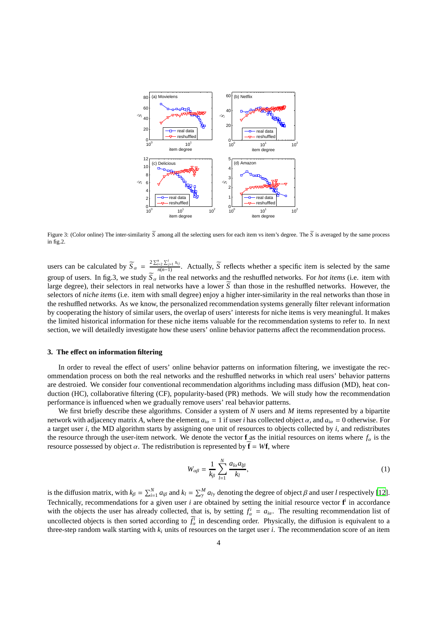

Figure 3: (Color online) The inter-similarity  $\overline{S}$  among all the selecting users for each item vs item's degree. The  $\overline{S}$  is averaged by the same process in fig.2.

users can be calculated by  $\widetilde{S}_{\alpha} = \frac{2 \sum_{i=2}^{n} \sum_{j=1}^{i} s_{ij}}{n(n-1)}$ . Actually,  $\widetilde{S}$  reflects whether a specific item is selected by the same group of users. In fig.3, we study  $\tilde{S}_{\alpha}$  in the real networks and the reshuffled networks. For *hot items* (i.e. item with large degree), their selectors in real networks have a lower  $\overline{S}$  than those in the reshuffled networks. However, the selectors of *niche items* (i.e. item with small degree) enjoy a higher inter-similarity in the real networks than those in the reshuffled networks. As we know, the personalized recommendation systems generally filter relevant information by cooperating the history of similar users, the overlap of users' interests for niche items is very meaningful. It makes the limited historical information for these niche items valuable for the recommendation systems to refer to. In next section, we will detailedly investigate how these users' online behavior patterns affect the recommendation process.

## **3. The e**ff**ect on information filtering**

In order to reveal the effect of users' online behavior patterns on information filtering, we investigate the recommendation process on both the real networks and the reshuffled networks in which real users' behavior patterns are destroied. We consider four conventional recommendation algorithms including mass diffusion (MD), heat conduction (HC), collaborative filtering (CF), popularity-based (PR) methods. We will study how the recommendation performance is influenced when we gradually remove users' real behavior patterns.

We first briefly describe these algorithms. Consider a system of *N* users and *M* items represented by a bipartite network with adjacency matrix A, where the element  $a_{i\alpha} = 1$  if user *i* has collected object  $\alpha$ , and  $a_{i\alpha} = 0$  otherwise. For a target user *i*, the MD algorithm starts by assigning one unit of resources to objects collected by *i*, and redistributes the resource through the user-item network. We denote the vector **f** as the initial resources on items where  $f_\alpha$  is the resource possessed by object  $\alpha$ . The redistribution is represented by  $\tilde{\mathbf{f}} = W\mathbf{f}$ , where

$$
W_{\alpha\beta} = \frac{1}{k_{\beta}} \sum_{l=1}^{N} \frac{a_{l\alpha} a_{l\beta}}{k_l},\tag{1}
$$

is the diffusion matrix, with  $k_\beta = \sum_{i=1}^N a_{i\beta}$  and  $k_l = \sum_{\gamma=1}^M a_{l\gamma}$  denoting the degree of object  $\beta$  and user *l* respectively [\[12](#page-7-11)]. Technically, recommendations for a given user  $i$  are obtained by setting the initial resource vector  $f'$  in accordance with the objects the user has already collected, that is, by setting  $f_a^i = a_{ia}$ . The resulting recommendation list of uncollected objects is then sorted according to  $\tilde{f}_\alpha^i$  in descending order. Physically, the diffusion is equivalent to a three-step random walk starting with *k<sup>i</sup>* units of resources on the target user *i*. The recommendation score of an item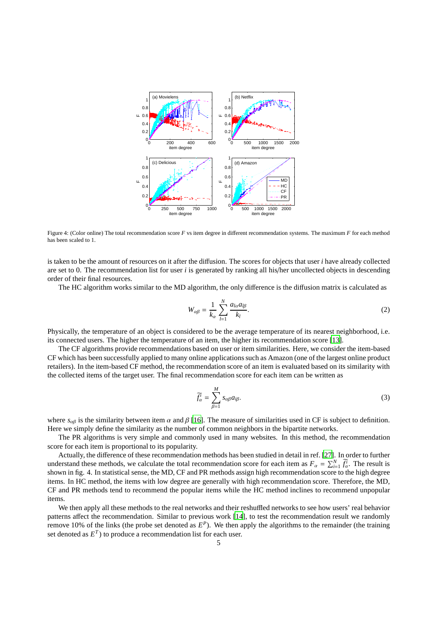

Figure 4: (Color online) The total recommendation score F vs item degree in different recommendation systems. The maximum F for each method has been scaled to 1.

is taken to be the amount of resources on it after the diffusion. The scores for objects that user *i* have already collected are set to 0. The recommendation list for user *i* is generated by ranking all his/her uncollected objects in descending order of their final resources.

The HC algorithm works similar to the MD algorithm, the only difference is the diffusion matrix is calculated as

$$
W_{\alpha\beta} = \frac{1}{k_{\alpha}} \sum_{l=1}^{N} \frac{a_{l\alpha} a_{l\beta}}{k_l}.
$$
 (2)

Physically, the temperature of an object is considered to be the average temperature of its nearest neighborhood, i.e. its connected users. The higher the temperature of an item, the higher its recommendation score [\[13](#page-7-12)].

The CF algorithms provide recommendations based on user or item similarities. Here, we consider the item-based CF which has been successfully applied to many online applications such as Amazon (one of the largest online product retailers). In the item-based CF method, the recommendation score of an item is evaluated based on its similarity with the collected items of the target user. The final recommendation score for each item can be written as

$$
\widetilde{f}_{\alpha}^{i} = \sum_{\beta=1}^{M} s_{\alpha\beta} a_{i\beta}.
$$
 (3)

where  $s_{\alpha\beta}$  is the similarity between item  $\alpha$  and  $\beta$  [\[16\]](#page-7-15). The measure of similarities used in CF is subject to definition. Here we simply define the similarity as the number of common neighbors in the bipartite networks.

The PR algorithms is very simple and commonly used in many websites. In this method, the recommendation score for each item is proportional to its popularity.

Actually, the difference of these recommendation methods has been studied in detail in ref. [\[27\]](#page-7-26). In order to further understand these methods, we calculate the total recommendation score for each item as  $F_\alpha = \sum_{i=1}^N \tilde{f}_\alpha^i$ . The result is shown in fig. 4. In statistical sense, the MD, CF and PR methods assign high recommendation score to the high degree items. In HC method, the items with low degree are generally with high recommendation score. Therefore, the MD, CF and PR methods tend to recommend the popular items while the HC method inclines to recommend unpopular items.

We then apply all these methods to the real networks and their reshuffled networks to see how users' real behavior patterns affect the recommendation. Similar to previous work [\[14\]](#page-7-13), to test the recommendation result we randomly remove 10% of the links (the probe set denoted as  $E^P$ ). We then apply the algorithms to the remainder (the training set denoted as  $E^T$ ) to produce a recommendation list for each user.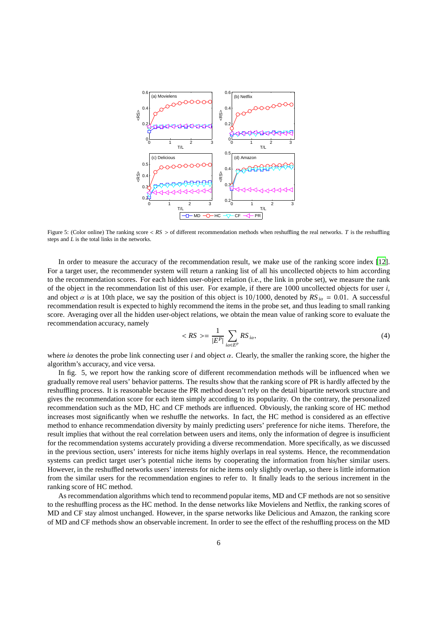

Figure 5: (Color online) The ranking score <  $RS >$  of different recommendation methods when reshuffling the real networks. *T* is the reshuffling steps and *L* is the total links in the networks.

In order to measure the accuracy of the recommendation result, we make use of the ranking score index [\[12](#page-7-11)]. For a target user, the recommender system will return a ranking list of all his uncollected objects to him according to the recommendation scores. For each hidden user-object relation (i.e., the link in probe set), we measure the rank of the object in the recommendation list of this user. For example, if there are 1000 uncollected objects for user *i*, and object  $\alpha$  is at 10th place, we say the position of this object is 10/1000, denoted by  $RS_{i\alpha} = 0.01$ . A successful recommendation result is expected to highly recommend the items in the probe set, and thus leading to small ranking score. Averaging over all the hidden user-object relations, we obtain the mean value of ranking score to evaluate the recommendation accuracy, namely

$$
\langle RS \rangle = \frac{1}{|E^P|} \sum_{i\alpha \in E^P} RS_{i\alpha},\tag{4}
$$

where *i*α denotes the probe link connecting user *i* and object α. Clearly, the smaller the ranking score, the higher the algorithm's accuracy, and vice versa.

In fig. 5, we report how the ranking score of different recommendation methods will be influenced when we gradually remove real users' behavior patterns. The results show that the ranking score of PR is hardly affected by the reshuffling process. It is reasonable because the PR method doesn't rely on the detail bipartite network structure and gives the recommendation score for each item simply according to its popularity. On the contrary, the personalized recommendation such as the MD, HC and CF methods are influenced. Obviously, the ranking score of HC method increases most significantly when we reshuffle the networks. In fact, the HC method is considered as an effective method to enhance recommendation diversity by mainly predicting users' preference for niche items. Therefore, the result implies that without the real correlation between users and items, only the information of degree is insufficient for the recommendation systems accurately providing a diverse recommendation. More specifically, as we discussed in the previous section, users' interests for niche items highly overlaps in real systems. Hence, the recommendation systems can predict target user's potential niche items by cooperating the information from his/her similar users. However, in the reshuffled networks users' interests for niche items only slightly overlap, so there is little information from the similar users for the recommendation engines to refer to. It finally leads to the serious increment in the ranking score of HC method.

As recommendation algorithms which tend to recommend popular items, MD and CF methods are not so sensitive to the reshuffling process as the HC method. In the dense networks like Movielens and Netflix, the ranking scores of MD and CF stay almost unchanged. However, in the sparse networks like Delicious and Amazon, the ranking score of MD and CF methods show an observable increment. In order to see the effect of the reshuffling process on the MD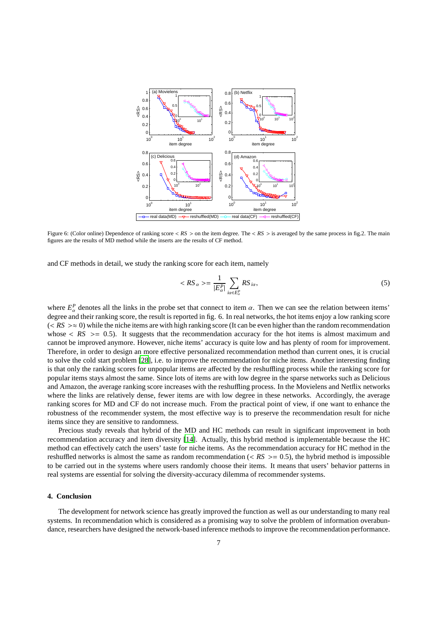

Figure 6: (Color online) Dependence of ranking score <  $RS >$  on the item degree. The <  $RS >$  is averaged by the same process in fig.2. The main figures are the results of MD method while the inserts are the results of CF method.

and CF methods in detail, we study the ranking score for each item, namely

$$
\langle RS_{\alpha} \rangle = \frac{1}{|E_{\alpha}^P|} \sum_{i\alpha \in E_{\alpha}^P} RS_{i\alpha}, \tag{5}
$$

where  $E^P_\alpha$  denotes all the links in the probe set that connect to item  $\alpha$ . Then we can see the relation between items' degree and their ranking score, the result is reported in fig. 6. In real networks, the hot items enjoy a low ranking score  $(<$  *RS*  $> \approx 0$ ) while the niche items are with high ranking score (It can be even higher than the random recommendation whose  $\langle RS \rangle$  = 0.5). It suggests that the recommendation accuracy for the hot items is almost maximum and cannot be improved anymore. However, niche items' accuracy is quite low and has plenty of room for improvement. Therefore, in order to design an more effective personalized recommendation method than current ones, it is crucial to solve the cold start problem [\[28\]](#page-7-27), i.e. to improve the recommendation for niche items. Another interesting finding is that only the ranking scores for unpopular items are affected by the reshuffling process while the ranking score for popular items stays almost the same. Since lots of items are with low degree in the sparse networks such as Delicious and Amazon, the average ranking score increases with the reshuffling process. In the Movielens and Netflix networks where the links are relatively dense, fewer items are with low degree in these networks. Accordingly, the average ranking scores for MD and CF do not increase much. From the practical point of view, if one want to enhance the robustness of the recommender system, the most effective way is to preserve the recommendation result for niche items since they are sensitive to randomness.

Precious study reveals that hybrid of the MD and HC methods can result in significant improvement in both recommendation accuracy and item diversity [\[14](#page-7-13)]. Actually, this hybrid method is implementable because the HC method can effectively catch the users' taste for niche items. As the recommendation accuracy for HC method in the reshuffled networks is almost the same as random recommendation ( $\langle RS \rangle$  = 0.5), the hybrid method is impossible to be carried out in the systems where users randomly choose their items. It means that users' behavior patterns in real systems are essential for solving the diversity-accuracy dilemma of recommender systems.

## **4. Conclusion**

The development for network science has greatly improved the function as well as our understanding to many real systems. In recommendation which is considered as a promising way to solve the problem of information overabundance, researchers have designed the network-based inference methods to improve the recommendation performance.